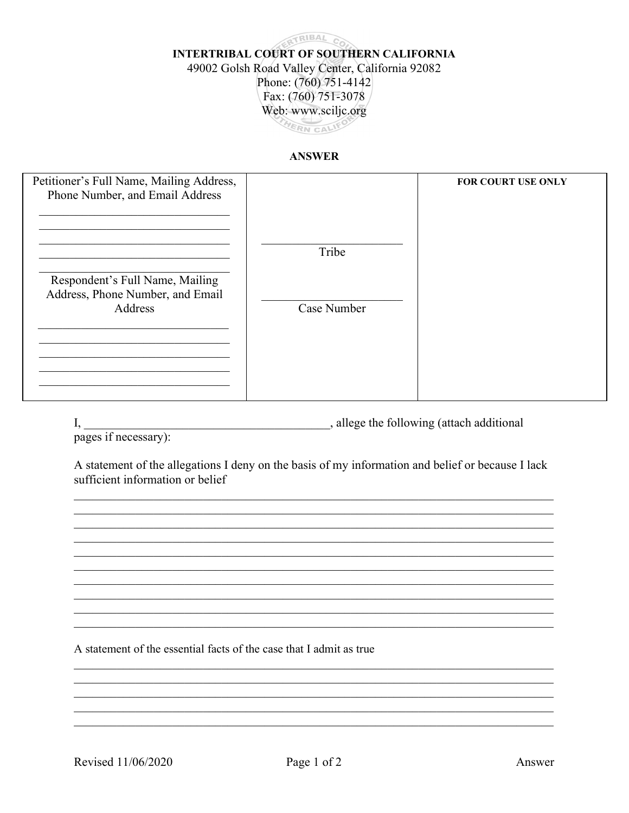## **ERTRIBAL CO INTERTRIBAL COURT OF SOUTHERN CALIFORNIA** 49002 Golsh Road Valley Center, California 92082 Phone: (760) 751-4142 Fax: (760) 751-3078 Web: www.sciljc.org HERN CALIFO

## **ANSWER**

| Petitioner's Full Name, Mailing Address,                                       |             | <b>FOR COURT USE ONLY</b> |
|--------------------------------------------------------------------------------|-------------|---------------------------|
| Phone Number, and Email Address                                                |             |                           |
|                                                                                | Tribe       |                           |
| Respondent's Full Name, Mailing<br>Address, Phone Number, and Email<br>Address | Case Number |                           |
|                                                                                |             |                           |
|                                                                                |             |                           |
|                                                                                |             |                           |

allege the following (attach additional), allege the following (attach additional I,

pages if necessary):

A statement of the allegations I deny on the basis of my information and belief or because I lack sufficient information or belief

A statement of the essential facts of the case that I admit as true